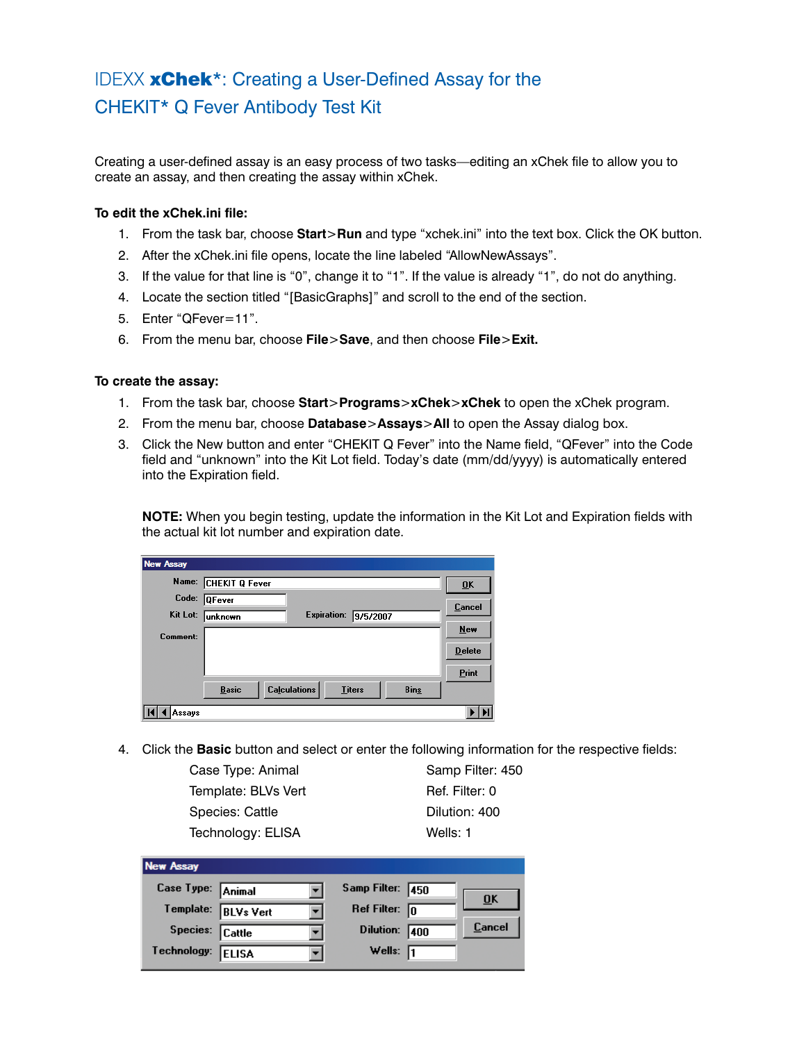# IDEXX **xChek**\*: Creating a User-Defined Assay for the CHEKIT\* Q Fever Antibody Test Kit

Creating a user-defined assay is an easy process of two tasks—editing an xChek file to allow you to create an assay, and then creating the assay within xChek.

# **To edit the xChek.ini file:**

- 1. From the task bar, choose **Start**>**Run** and type "xchek.ini" into the text box. Click the OK button.
- 2. After the xChek.ini file opens, locate the line labeled "AllowNewAssays".
- 3. If the value for that line is "0", change it to "1". If the value is already "1", do not do anything.
- 4. Locate the section titled "[BasicGraphs]" and scroll to the end of the section.
- 5. Enter "QFever=11".
- 6. From the menu bar, choose **File**>**Save**, and then choose **File**>**Exit.**

## **To create the assay:**

- 1. From the task bar, choose **Start**>**Programs**>**xChek**>**xChek** to open the xChek program.
- 2. From the menu bar, choose **Database**>**Assays**>**All** to open the Assay dialog box.
- 3. Click the New button and enter "CHEKIT Q Fever" into the Name field, "QFever" into the Code field and "unknown" into the Kit Lot field. Today's date (mm/dd/yyyy) is automatically entered into the Expiration field.

**NOTE:** When you begin testing, update the information in the Kit Lot and Expiration fields with the actual kit lot number and expiration date.

| New Assay       |                      |                                      |             |                  |
|-----------------|----------------------|--------------------------------------|-------------|------------------|
|                 | Name: CHEKIT Q Fever |                                      |             | $\overline{0}$ K |
| Code:           | <b>QFever</b>        |                                      |             | <b>Cancel</b>    |
| Kit Lot:        | lunknown             | <b>Expiration:</b>                   | 9/5/2007    |                  |
| <b>Comment:</b> |                      |                                      |             | New              |
|                 |                      |                                      |             | <b>Delete</b>    |
|                 |                      |                                      |             | Print            |
|                 | <b>Basic</b>         | <b>Calculations</b><br><b>Titers</b> | <b>Bins</b> |                  |
| Assays          |                      |                                      |             |                  |

4. Click the **Basic** button and select or enter the following information for the respective fields:

Case Type: Animal Samp Filter: 450 Template: BLVs Vert Ref. Filter: 0 Species: Cattle Dilution: 400 Technology: ELISA Wells: 1

| <b>New Assay</b>  |                     |                         |      |        |
|-------------------|---------------------|-------------------------|------|--------|
| Case Type: Animal |                     | Samp Filter: 450        |      |        |
|                   | Template: BLVs Vert | Ref Filter: $\boxed{0}$ |      | ŪΚ     |
| Species: Cattle   |                     | <b>Dilution:</b>        | 1400 | Cancel |
| Technology:       | <b>ELISA</b>        | Wells: $\sqrt{1}$       |      |        |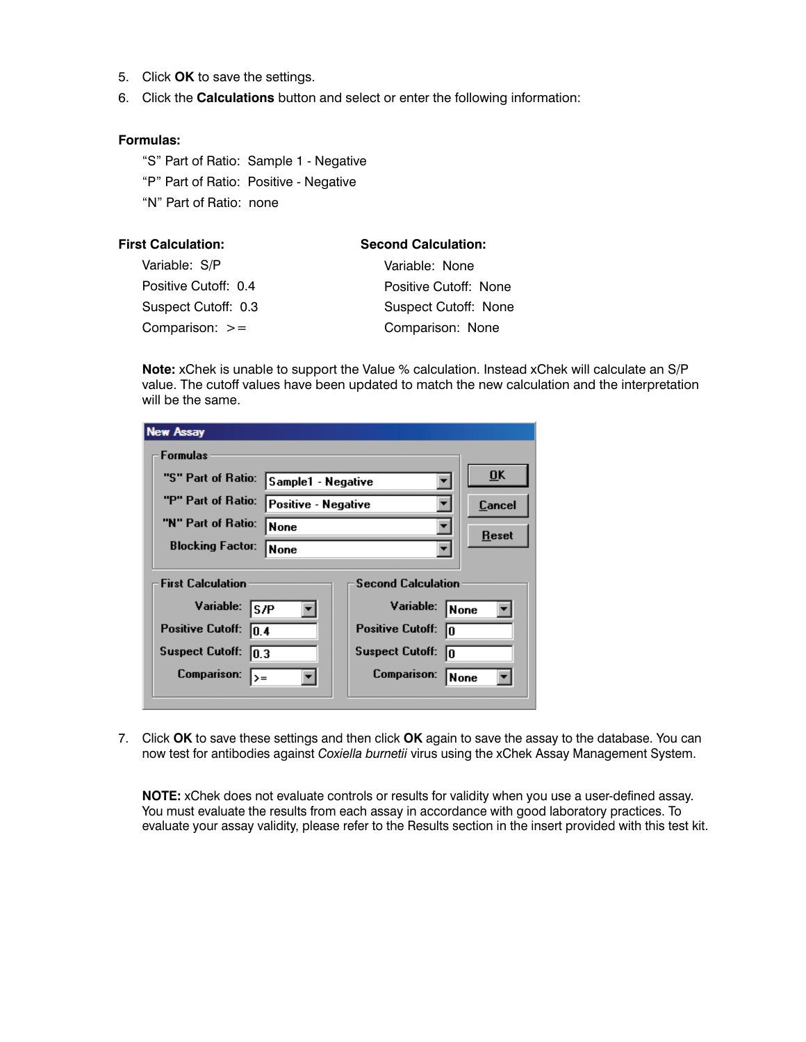- 5. Click **OK** to save the settings.
- 6. Click the **Calculations** button and select or enter the following information:

### **Formulas:**

"S" Part of Ratio: Sample 1 - Negative "P" Part of Ratio: Positive - Negative "N" Part of Ratio: none

| <b>First Calculation:</b> | <b>Second Calculation:</b>  |
|---------------------------|-----------------------------|
| Variable: S/P             | Variable: None              |
| Positive Cutoff: 0.4      | Positive Cutoff: None       |
| Suspect Cutoff: 0.3       | <b>Suspect Cutoff: None</b> |
| Comparison: $>=$          | Comparison: None            |

**Note:** xChek is unable to support the Value % calculation. Instead xChek will calculate an S/P value. The cutoff values have been updated to match the new calculation and the interpretation will be the same.

| <b>New Assay</b>                |                     |                               |              |
|---------------------------------|---------------------|-------------------------------|--------------|
| <b>Formulas</b>                 |                     |                               |              |
| "S" Part of Ratio:              | Sample1 - Negative  |                               | ŪK           |
| "P" Part of Ratio:              | Positive - Negative |                               | Cancel       |
| "N" Part of Ratio:              | None                |                               | <b>Reset</b> |
| <b>Blocking Factor:</b>         | <b>None</b>         |                               |              |
| <b>First Calculation</b>        |                     | <b>Second Calculation</b>     |              |
| Variable: S/P                   |                     | Variable:                     | None         |
| <b>Positive Cutoff:</b><br>10.4 |                     | <b>Positive Cutoff:</b><br>In |              |
| <b>Suspect Cutoff:</b><br>10.3  |                     | <b>Suspect Cutoff:</b><br>ln. |              |
| Comparison:<br> >=              |                     | Comparison:                   | None         |

7. Click **OK** to save these settings and then click **OK** again to save the assay to the database. You can now test for antibodies against *Coxiella burnetii* virus using the xChek Assay Management System.

**NOTE:** xChek does not evaluate controls or results for validity when you use a user-defined assay. You must evaluate the results from each assay in accordance with good laboratory practices. To evaluate your assay validity, please refer to the Results section in the insert provided with this test kit.